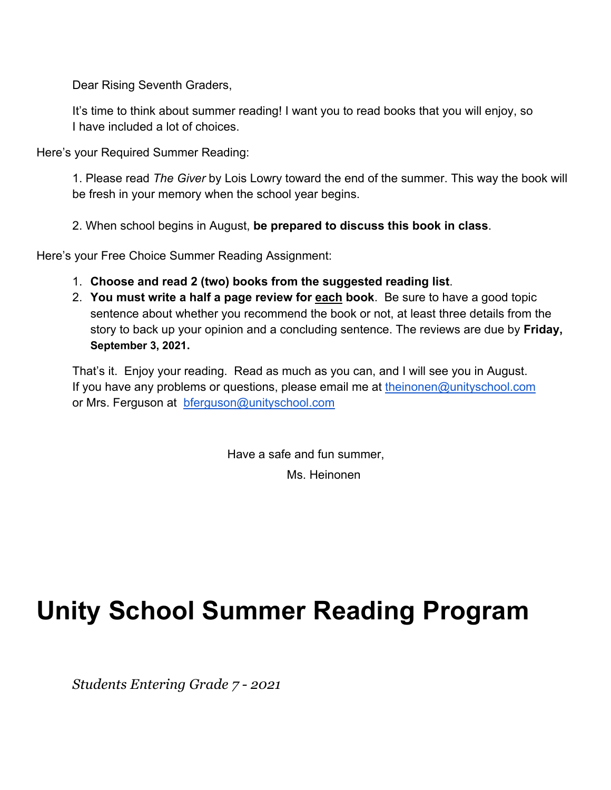Dear Rising Seventh Graders,

It's time to think about summer reading! I want you to read books that you will enjoy, so I have included a lot of choices.

Here's your Required Summer Reading:

1. Please read *The Giver* by Lois Lowry toward the end of the summer. This way the book will be fresh in your memory when the school year begins.

2. When school begins in August, **be prepared to discuss this book in class**.

Here's your Free Choice Summer Reading Assignment:

- 1. **Choose and read 2 (two) books from the suggested reading list**.
- 2. **You must write a half a page review for each book**. Be sure to have a good topic sentence about whether you recommend the book or not, at least three details from the story to back up your opinion and a concluding sentence. The reviews are due by **Friday, September 3, 2021.**

That's it. Enjoy your reading. Read as much as you can, and I will see you in August. If you have any problems or questions, please email me at theinonen@unityschool.com or Mrs. Ferguson at bferguson@unityschool.com

> Have a safe and fun summer, Ms. Heinonen

# **Unity School Summer Reading Program**

*Students Entering Grade 7 - 2021*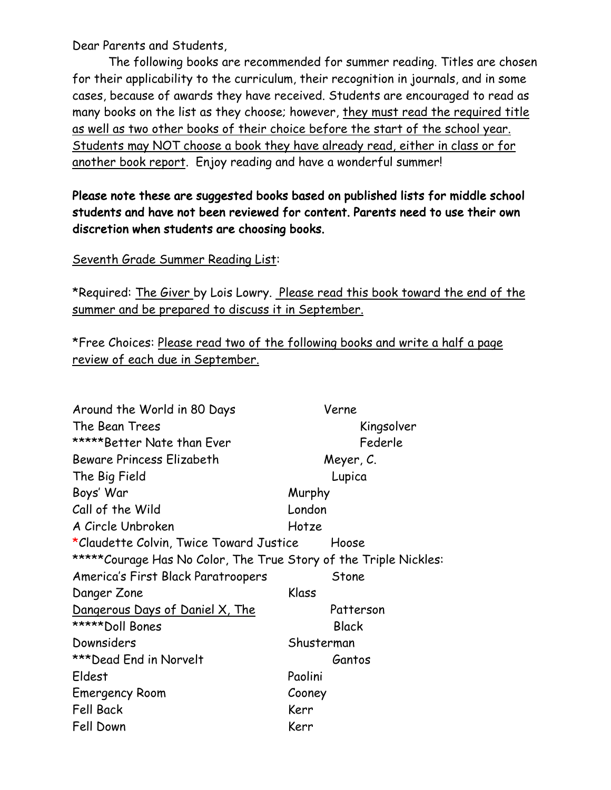Dear Parents and Students,

The following books are recommended for summer reading. Titles are chosen for their applicability to the curriculum, their recognition in journals, and in some cases, because of awards they have received. Students are encouraged to read as many books on the list as they choose; however, they must read the required title as well as two other books of their choice before the start of the school year. Students may NOT choose a book they have already read, either in class or for another book report. Enjoy reading and have a wonderful summer!

### Please note these are suggested books based on published lists for middle school students and have not been reviewed for content. Parents need to use their own discretion when students are choosing books.

Seventh Grade Summer Reading List:

\*Required: The Giver by Lois Lowry. Please read this book toward the end of the summer and be prepared to discuss it in September.

\*Free Choices: Please read two of the following books and write a half a page review of each due in September.

| Around the World in 80 Days                                       | Verne        |
|-------------------------------------------------------------------|--------------|
| The Bean Trees                                                    | Kingsolver   |
| *****Better Nate than Ever                                        | Federle      |
| <b>Beware Princess Elizabeth</b>                                  | Meyer, C.    |
| The Big Field                                                     | Lupica       |
| Boys' War                                                         | Murphy       |
| Call of the Wild                                                  | London       |
| A Circle Unbroken                                                 | Hotze        |
| *Claudette Colvin, Twice Toward Justice                           | Hoose        |
| ***** Courage Has No Color, The True Story of the Triple Nickles: |              |
| America's First Black Paratroopers                                | Stone        |
| Danger Zone                                                       | Klass        |
| Dangerous Days of Daniel X, The                                   | Patterson    |
| *****Doll Bones                                                   | <b>Black</b> |
| Downsiders                                                        | Shusterman   |
| ***Dead End in Norvelt                                            | Gantos       |
| Eldest                                                            | Paolini      |
| <b>Emergency Room</b>                                             | Cooney       |
| <b>Fell Back</b>                                                  | Kerr         |
| Fell Down                                                         | Kerr         |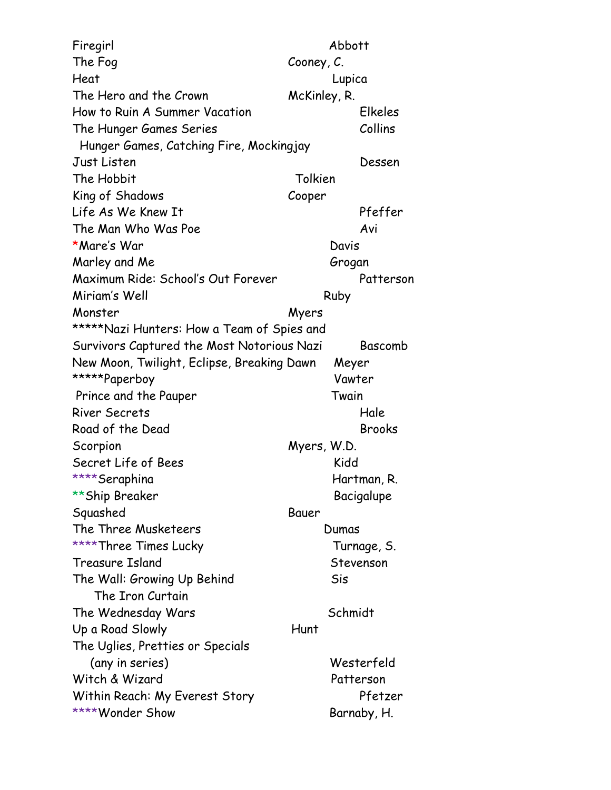Firegirl Abbott The Fog Cooney, C. Heat Lupica The Hero and the Crown McKinley, R. How to Ruin A Summer Vacation Elkeles The Hunger Games Series Collins Hunger Games, Catching Fire, Mockingjay Just Listen Dessen The Hobbit Tolkien King of Shadows Cooper Life As We Knew It Pfeffer The Man Who Was Poe Avi \*Mare's War Davis Marley and Me Grogan Maximum Ride: School's Out Forever Patterson Miriam's Well **Ruby** Ruby Monster Myers \*\*\*\*\*Nazi Hunters: How a Team of Spies and Survivors Captured the Most Notorious Nazi Bascomb New Moon, Twilight, Eclipse, Breaking Dawn Meyer \*\*\*\*\*Paperboy Vawter Prince and the Pauper Twain River Secrets Hale Road of the Dead Brooks Scorpion Myers, W.D. Secret Life of Bees Kidd \*\*\*\*Seraphina Hartman, R. \*\*Ship Breaker Bacigalupe Squashed Bauer The Three Musketeers **Dumas** \*\*\*\*Three Times Lucky Turnage, S. Treasure Island Stevenson The Wall: Growing Up Behind Sis The Iron Curtain The Wednesday Wars Schmidt Up a Road Slowly **Hunt** The Uglies, Pretties or Specials (any in series) Westerfeld Witch & Wizard Patterson Within Reach: My Everest Story Pfetzer \*\*\*\*Wonder Show Barnaby, H.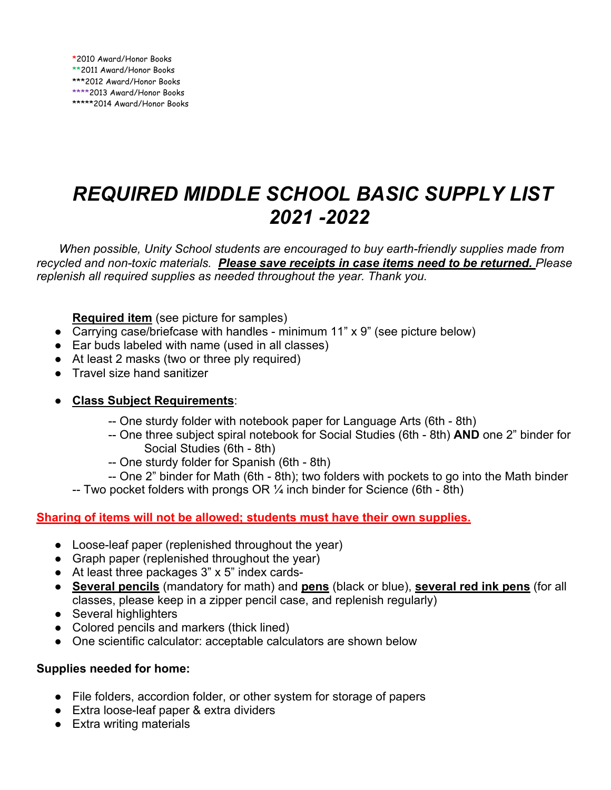## *REQUIRED MIDDLE SCHOOL BASIC SUPPLY LIST 2021 -2022*

*When possible, Unity School students are encouraged to buy earth-friendly supplies made from recycled and non-toxic materials. Please save receipts in case items need to be returned. Please replenish all required supplies as needed throughout the year. Thank you.*

**Required item** (see picture for samples)

- Carrying case/briefcase with handles minimum 11" x 9" (see picture below)
- Ear buds labeled with name (used in all classes)
- At least 2 masks (two or three ply required)
- Travel size hand sanitizer

#### ● **Class Subject Requirements**:

- -- One sturdy folder with notebook paper for Language Arts (6th 8th)
- -- One three subject spiral notebook for Social Studies (6th 8th) **AND** one 2" binder for Social Studies (6th - 8th)
- -- One sturdy folder for Spanish (6th 8th)
- -- One 2" binder for Math (6th 8th); two folders with pockets to go into the Math binder
- -- Two pocket folders with prongs OR  $\frac{1}{4}$  inch binder for Science (6th 8th)

#### **Sharing of items will not be allowed; students must have their own supplies.**

- Loose-leaf paper (replenished throughout the year)
- Graph paper (replenished throughout the year)
- $\bullet$  At least three packages 3" x 5" index cards-
- **Several pencils** (mandatory for math) and **pens** (black or blue), **several red ink pens** (for all classes, please keep in a zipper pencil case, and replenish regularly)
- Several highlighters
- Colored pencils and markers (thick lined)
- One scientific calculator: acceptable calculators are shown below

#### **Supplies needed for home:**

- File folders, accordion folder, or other system for storage of papers
- Extra loose-leaf paper & extra dividers
- Extra writing materials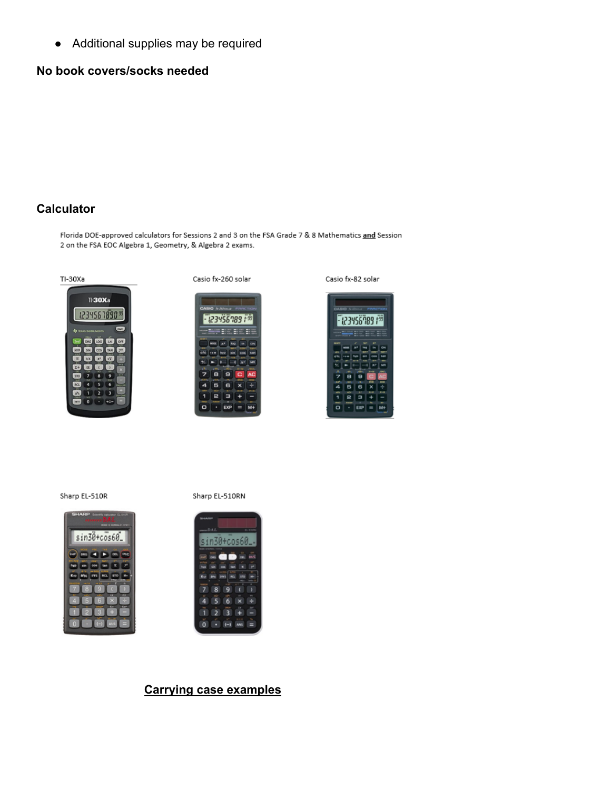● Additional supplies may be required

#### **No book covers/socks needed**

#### **Calculator**

Florida DOE-approved calculators for Sessions 2 and 3 on the FSA Grade 7 & 8 Mathematics and Session 2 on the FSA EOC Algebra 1, Geometry, & Algebra 2 exams.



Casio fx-260 solar



Casio fx-82 solar



Sharp EL-510R



in30+cos60

Sharp EL-510RN

#### $\overline{1}$ **But CITY**  $\alpha$ 4 6  $\mathbf{x}$ п  $\overline{2}$  $3 +$  $\overline{0}$  $\overline{(-)}$

#### **Carrying case examples**